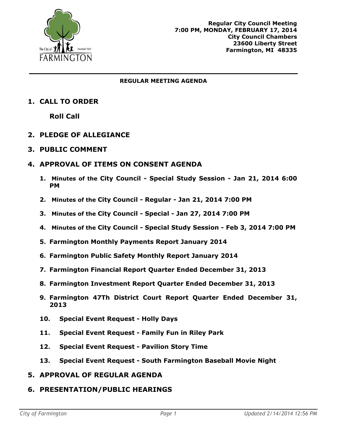

#### **REGULAR MEETING AGENDA**

# **1. CALL TO ORDER**

**Roll Call**

# **2. PLEDGE OF ALLEGIANCE**

**3. PUBLIC COMMENT**

#### **4. APPROVAL OF ITEMS ON CONSENT AGENDA**

- **1. Minutes of the City Council - Special Study Session - Jan 21, 2014 6:00 PM**
- **2. Minutes of the City Council - Regular - Jan 21, 2014 7:00 PM**
- **3. Minutes of the City Council - Special - Jan 27, 2014 7:00 PM**
- **4. Minutes of the City Council - Special Study Session - Feb 3, 2014 7:00 PM**
- **5. Farmington Monthly Payments Report January 2014**
- **6. Farmington Public Safety Monthly Report January 2014**
- **7. Farmington Financial Report Quarter Ended December 31, 2013**
- **8. Farmington Investment Report Quarter Ended December 31, 2013**
- **9. Farmington 47Th District Court Report Quarter Ended December 31, 2013**
- **10. Special Event Request - Holly Days**
- **11. Special Event Request - Family Fun in Riley Park**
- **12. Special Event Request - Pavilion Story Time**
- **13. Special Event Request - South Farmington Baseball Movie Night**
- **5. APPROVAL OF REGULAR AGENDA**
- **6. PRESENTATION/PUBLIC HEARINGS**